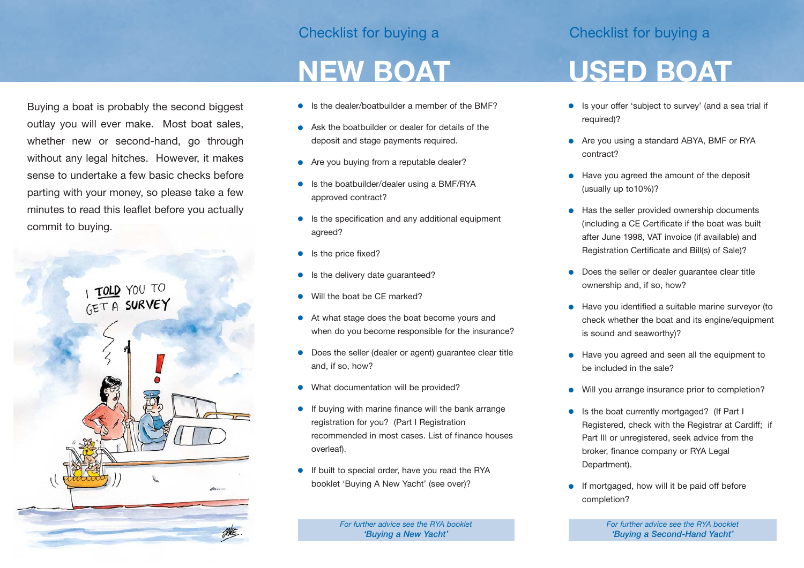### Checklist for buying a Checklist for buying a

### **NEW BOAT**

- Is the dealer/boatbuilder a member of the BMF?
- Ask the boatbuilder or dealer for details of the deposit and stage payments required.
- Are you buying from a reputable dealer?
- Is the boatbuilder/dealer using a BMF/RYA approved contract?
- Is the specification and any additional equipment agreed?
- Is the price fixed?
- Is the delivery date guaranteed?
- Will the boat be CF marked?
- At what stage does the boat become yours and when do you become responsible for the insurance?
- Does the seller (dealer or agent) guarantee clear title and, if so, how?
- What documentation will be provided?
- If buying with marine finance will the bank arrange registration for you? (Part I Registration recommended in most cases. List of finance houses overleaf).
- If built to special order, have you read the RYA booklet 'Buying A New Yacht' (see over)?

*For further advice see the RYA booklet 'Buying a New Yacht'*

## **USED BOAT**

- Is your offer 'subject to survey' (and a sea trial if required)?
- Are you using a standard ABYA, BMF or RYA contract?
- Have you agreed the amount of the deposit (usually up to10%)?
- Has the seller provided ownership documents (including a CE Certificate if the boat was built after June 1998, VAT invoice (if available) and Registration Certificate and Bill(s) of Sale)?
- Does the seller or dealer guarantee clear title ownership and, if so, how?
- Have you identified a suitable marine surveyor (to check whether the boat and its engine/equipment is sound and seaworthy)?
- Have you agreed and seen all the equipment to be included in the sale?
- Will you arrange insurance prior to completion?
- Is the boat currently mortgaged? (If Part I Registered, check with the Registrar at Cardiff; if Part III or unregistered, seek advice from the broker, finance company or RYA Legal Department).
- If mortgaged, how will it be paid off before completion?

*For further advice see the RYA booklet 'Buying a Second-Hand Yacht'*

Buying a boat is probably the second biggest outlay you will ever make. Most boat sales, whether new or second-hand, go through without any legal hitches. However, it makes sense to undertake a few basic checks before parting with your money, so please take a few minutes to read this leaflet before you actually commit to buying.